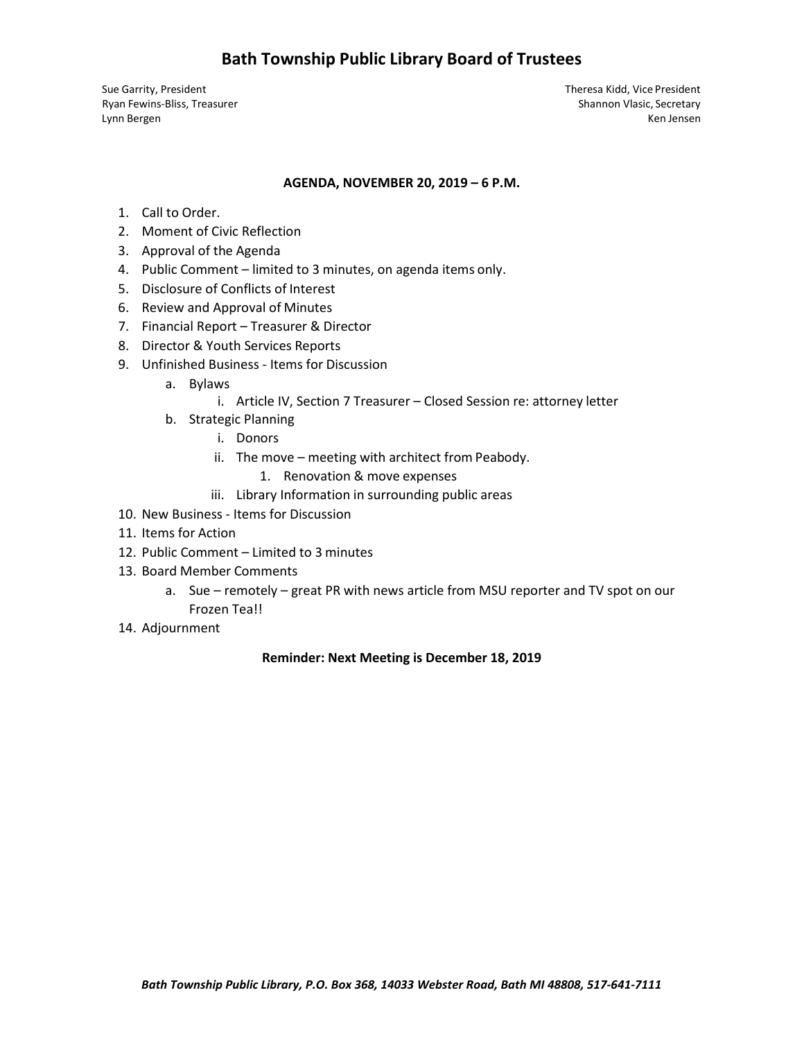## **Bath Township Public Library Board of Trustees**

Lynn Bergen Ken Jensen Ken Jensen Ken Jensen Ken Jensen Ken Jensen Ken Jensen Ken Jensen Ken Jensen Ken Jensen

Sue Garrity, President Theresa Kidd, Vice President Ryan Fewins-Bliss, Treasurer Shannon Vlasic, Secretary Shannon Vlasic, Secretary

#### **AGENDA, NOVEMBER 20, 2019 – 6 P.M.**

- 1. Call to Order.
- 2. Moment of Civic Reflection
- 3. Approval of the Agenda
- 4. Public Comment limited to 3 minutes, on agenda items only.
- 5. Disclosure of Conflicts of Interest
- 6. Review and Approval of Minutes
- 7. Financial Report Treasurer & Director
- 8. Director & Youth Services Reports
- 9. Unfinished Business Items for Discussion
	- a. Bylaws
		- i. Article IV, Section 7 Treasurer Closed Session re: attorney letter
	- b. Strategic Planning
		- i. Donors
		- ii. The move meeting with architect from Peabody.
			- 1. Renovation & move expenses
		- iii. Library Information in surrounding public areas
- 10. New Business Items for Discussion
- 11. Items for Action
- 12. Public Comment Limited to 3 minutes
- 13. Board Member Comments
	- a. Sue remotely great PR with news article from MSU reporter and TV spot on our Frozen Tea!!
- 14. Adjournment

#### **Reminder: Next Meeting is December 18, 2019**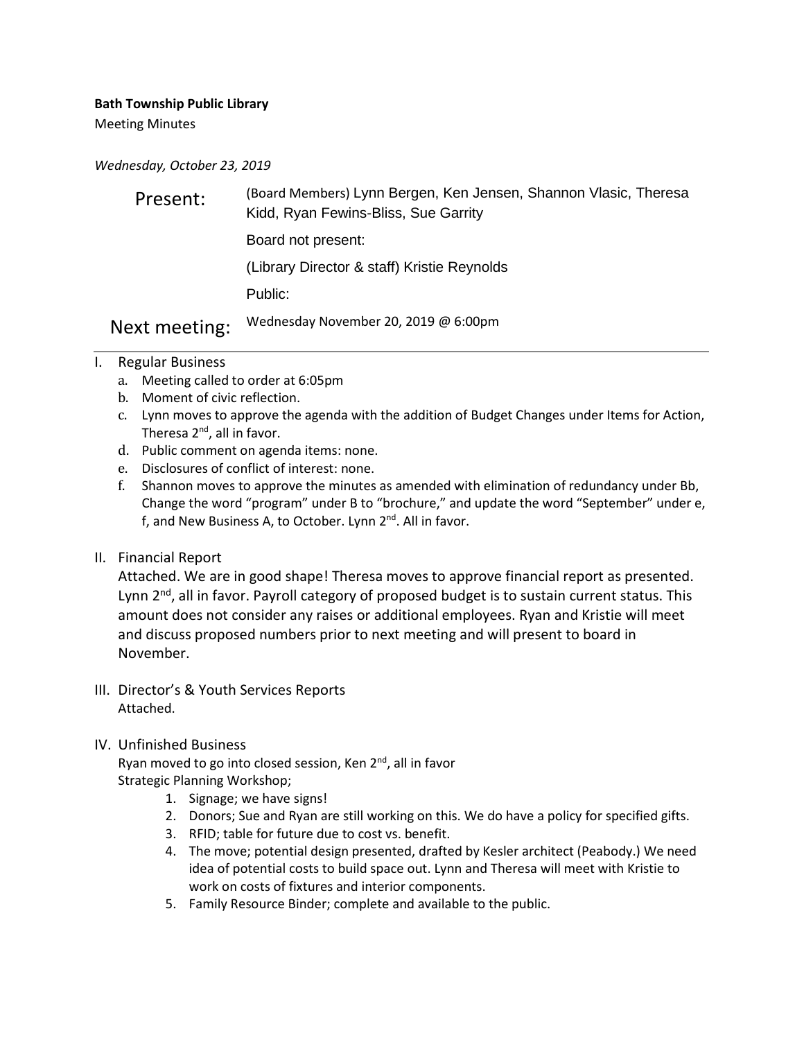**Bath Township Public Library**

Meeting Minutes

*Wednesday, October 23, 2019*

| Present:      | (Board Members) Lynn Bergen, Ken Jensen, Shannon Vlasic, Theresa<br>Kidd, Ryan Fewins-Bliss, Sue Garrity |
|---------------|----------------------------------------------------------------------------------------------------------|
|               | Board not present:                                                                                       |
|               | (Library Director & staff) Kristie Reynolds                                                              |
|               | Public:                                                                                                  |
| Next meeting: | Wednesday November 20, 2019 @ 6:00pm                                                                     |

- I. Regular Business
	- a. Meeting called to order at 6:05pm
	- b. Moment of civic reflection.
	- c. Lynn moves to approve the agenda with the addition of Budget Changes under Items for Action, Theresa  $2^{nd}$ , all in favor.
	- d. Public comment on agenda items: none.
	- e. Disclosures of conflict of interest: none.
	- f. Shannon moves to approve the minutes as amended with elimination of redundancy under Bb, Change the word "program" under B to "brochure," and update the word "September" under e, f, and New Business A, to October. Lynn 2<sup>nd</sup>. All in favor.
- II. Financial Report

Attached. We are in good shape! Theresa moves to approve financial report as presented. Lynn 2<sup>nd</sup>, all in favor. Payroll category of proposed budget is to sustain current status. This amount does not consider any raises or additional employees. Ryan and Kristie will meet and discuss proposed numbers prior to next meeting and will present to board in November.

- III. Director's & Youth Services Reports Attached.
- IV. Unfinished Business

Ryan moved to go into closed session, Ken 2<sup>nd</sup>, all in favor Strategic Planning Workshop;

- 1. Signage; we have signs!
- 2. Donors; Sue and Ryan are still working on this. We do have a policy for specified gifts.
- 3. RFID; table for future due to cost vs. benefit.
- 4. The move; potential design presented, drafted by Kesler architect (Peabody.) We need idea of potential costs to build space out. Lynn and Theresa will meet with Kristie to work on costs of fixtures and interior components.
- 5. Family Resource Binder; complete and available to the public.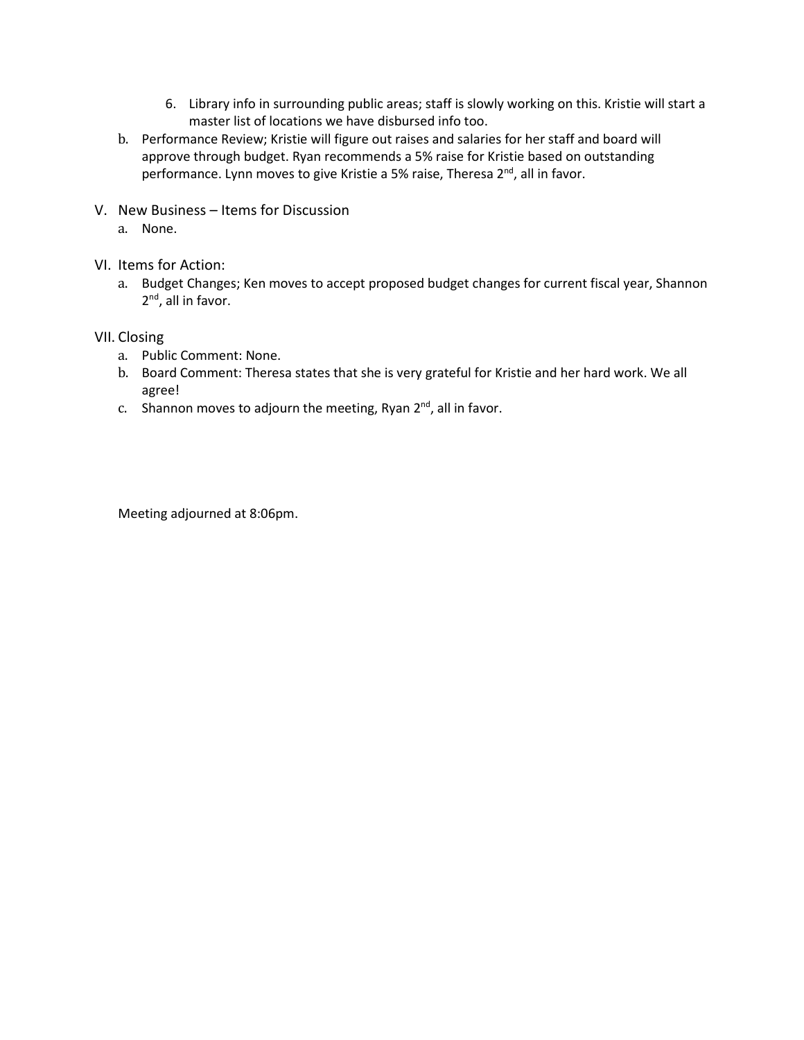- 6. Library info in surrounding public areas; staff is slowly working on this. Kristie will start a master list of locations we have disbursed info too.
- b. Performance Review; Kristie will figure out raises and salaries for her staff and board will approve through budget. Ryan recommends a 5% raise for Kristie based on outstanding performance. Lynn moves to give Kristie a 5% raise, Theresa 2<sup>nd</sup>, all in favor.
- V. New Business Items for Discussion
	- a. None.
- VI. Items for Action:
	- a. Budget Changes; Ken moves to accept proposed budget changes for current fiscal year, Shannon 2<sup>nd</sup>, all in favor.
- VII. Closing
	- a. Public Comment: None.
	- b. Board Comment: Theresa states that she is very grateful for Kristie and her hard work. We all agree!
	- c. Shannon moves to adjourn the meeting, Ryan  $2^{nd}$ , all in favor.

Meeting adjourned at 8:06pm.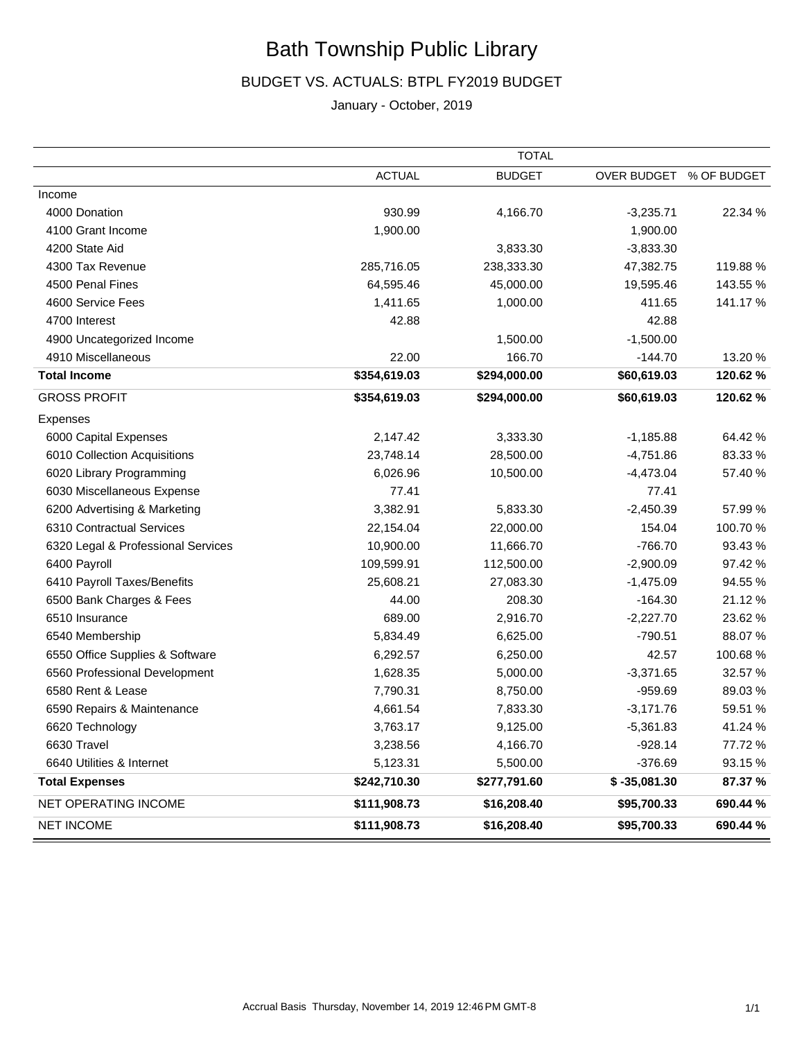# Bath Township Public Library

## BUDGET VS. ACTUALS: BTPL FY2019 BUDGET

## January - October, 2019

|                                    | <b>TOTAL</b>  |               |                |             |
|------------------------------------|---------------|---------------|----------------|-------------|
|                                    | <b>ACTUAL</b> | <b>BUDGET</b> | OVER BUDGET    | % OF BUDGET |
| Income                             |               |               |                |             |
| 4000 Donation                      | 930.99        | 4,166.70      | $-3,235.71$    | 22.34 %     |
| 4100 Grant Income                  | 1,900.00      |               | 1,900.00       |             |
| 4200 State Aid                     |               | 3,833.30      | $-3,833.30$    |             |
| 4300 Tax Revenue                   | 285,716.05    | 238,333.30    | 47,382.75      | 119.88 %    |
| 4500 Penal Fines                   | 64,595.46     | 45,000.00     | 19,595.46      | 143.55 %    |
| 4600 Service Fees                  | 1,411.65      | 1,000.00      | 411.65         | 141.17 %    |
| 4700 Interest                      | 42.88         |               | 42.88          |             |
| 4900 Uncategorized Income          |               | 1,500.00      | $-1,500.00$    |             |
| 4910 Miscellaneous                 | 22.00         | 166.70        | $-144.70$      | 13.20 %     |
| <b>Total Income</b>                | \$354,619.03  | \$294,000.00  | \$60,619.03    | 120.62 %    |
| <b>GROSS PROFIT</b>                | \$354,619.03  | \$294,000.00  | \$60,619.03    | 120.62 %    |
| Expenses                           |               |               |                |             |
| 6000 Capital Expenses              | 2,147.42      | 3,333.30      | $-1,185.88$    | 64.42 %     |
| 6010 Collection Acquisitions       | 23,748.14     | 28,500.00     | $-4,751.86$    | 83.33 %     |
| 6020 Library Programming           | 6,026.96      | 10,500.00     | $-4,473.04$    | 57.40 %     |
| 6030 Miscellaneous Expense         | 77.41         |               | 77.41          |             |
| 6200 Advertising & Marketing       | 3,382.91      | 5,833.30      | $-2,450.39$    | 57.99 %     |
| 6310 Contractual Services          | 22,154.04     | 22,000.00     | 154.04         | 100.70%     |
| 6320 Legal & Professional Services | 10,900.00     | 11,666.70     | $-766.70$      | 93.43%      |
| 6400 Payroll                       | 109,599.91    | 112,500.00    | $-2,900.09$    | 97.42 %     |
| 6410 Payroll Taxes/Benefits        | 25,608.21     | 27,083.30     | $-1,475.09$    | 94.55 %     |
| 6500 Bank Charges & Fees           | 44.00         | 208.30        | $-164.30$      | 21.12%      |
| 6510 Insurance                     | 689.00        | 2,916.70      | $-2,227.70$    | 23.62 %     |
| 6540 Membership                    | 5,834.49      | 6,625.00      | $-790.51$      | 88.07%      |
| 6550 Office Supplies & Software    | 6,292.57      | 6,250.00      | 42.57          | 100.68%     |
| 6560 Professional Development      | 1,628.35      | 5,000.00      | $-3,371.65$    | 32.57 %     |
| 6580 Rent & Lease                  | 7,790.31      | 8,750.00      | $-959.69$      | 89.03%      |
| 6590 Repairs & Maintenance         | 4,661.54      | 7,833.30      | $-3,171.76$    | 59.51 %     |
| 6620 Technology                    | 3,763.17      | 9,125.00      | $-5,361.83$    | 41.24 %     |
| 6630 Travel                        | 3,238.56      | 4,166.70      | $-928.14$      | 77.72 %     |
| 6640 Utilities & Internet          | 5,123.31      | 5,500.00      | $-376.69$      | 93.15 %     |
| <b>Total Expenses</b>              | \$242,710.30  | \$277,791.60  | $$ -35,081.30$ | 87.37 %     |
| NET OPERATING INCOME               | \$111,908.73  | \$16,208.40   | \$95,700.33    | 690.44 %    |
| <b>NET INCOME</b>                  | \$111,908.73  | \$16,208.40   | \$95,700.33    | 690.44 %    |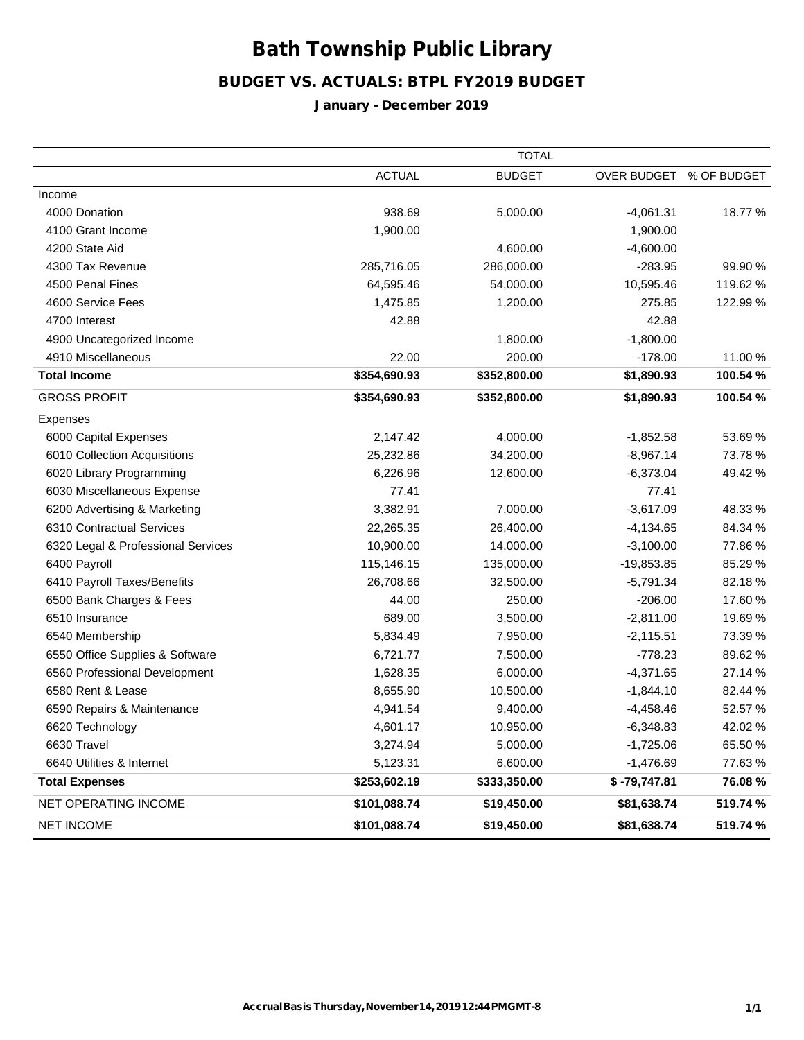# Bath Township PublicLibrary

## BUDGET VS. ACTUALS: BTPL FY2019 BUDGET

## January - December 2019

|                                    | <b>TOTAL</b>  |               |                |             |
|------------------------------------|---------------|---------------|----------------|-------------|
|                                    | <b>ACTUAL</b> | <b>BUDGET</b> | OVER BUDGET    | % OF BUDGET |
| Income                             |               |               |                |             |
| 4000 Donation                      | 938.69        | 5,000.00      | $-4,061.31$    | 18.77 %     |
| 4100 Grant Income                  | 1,900.00      |               | 1,900.00       |             |
| 4200 State Aid                     |               | 4,600.00      | $-4,600.00$    |             |
| 4300 Tax Revenue                   | 285,716.05    | 286,000.00    | $-283.95$      | 99.90 %     |
| 4500 Penal Fines                   | 64,595.46     | 54,000.00     | 10,595.46      | 119.62 %    |
| 4600 Service Fees                  | 1,475.85      | 1,200.00      | 275.85         | 122.99 %    |
| 4700 Interest                      | 42.88         |               | 42.88          |             |
| 4900 Uncategorized Income          |               | 1,800.00      | $-1,800.00$    |             |
| 4910 Miscellaneous                 | 22.00         | 200.00        | $-178.00$      | 11.00 %     |
| <b>Total Income</b>                | \$354,690.93  | \$352,800.00  | \$1,890.93     | 100.54 %    |
| <b>GROSS PROFIT</b>                | \$354,690.93  | \$352,800.00  | \$1,890.93     | 100.54 %    |
| Expenses                           |               |               |                |             |
| 6000 Capital Expenses              | 2,147.42      | 4,000.00      | $-1,852.58$    | 53.69%      |
| 6010 Collection Acquisitions       | 25,232.86     | 34,200.00     | $-8,967.14$    | 73.78%      |
| 6020 Library Programming           | 6,226.96      | 12,600.00     | $-6,373.04$    | 49.42%      |
| 6030 Miscellaneous Expense         | 77.41         |               | 77.41          |             |
| 6200 Advertising & Marketing       | 3,382.91      | 7,000.00      | $-3,617.09$    | 48.33%      |
| 6310 Contractual Services          | 22,265.35     | 26,400.00     | $-4,134.65$    | 84.34 %     |
| 6320 Legal & Professional Services | 10,900.00     | 14,000.00     | $-3,100.00$    | 77.86%      |
| 6400 Payroll                       | 115,146.15    | 135,000.00    | $-19,853.85$   | 85.29 %     |
| 6410 Payroll Taxes/Benefits        | 26,708.66     | 32,500.00     | $-5,791.34$    | 82.18%      |
| 6500 Bank Charges & Fees           | 44.00         | 250.00        | $-206.00$      | 17.60%      |
| 6510 Insurance                     | 689.00        | 3,500.00      | $-2,811.00$    | 19.69%      |
| 6540 Membership                    | 5,834.49      | 7,950.00      | $-2,115.51$    | 73.39 %     |
| 6550 Office Supplies & Software    | 6,721.77      | 7,500.00      | $-778.23$      | 89.62%      |
| 6560 Professional Development      | 1,628.35      | 6,000.00      | $-4,371.65$    | 27.14 %     |
| 6580 Rent & Lease                  | 8,655.90      | 10,500.00     | $-1,844.10$    | 82.44 %     |
| 6590 Repairs & Maintenance         | 4,941.54      | 9,400.00      | $-4,458.46$    | 52.57 %     |
| 6620 Technology                    | 4,601.17      | 10,950.00     | $-6,348.83$    | 42.02 %     |
| 6630 Travel                        | 3,274.94      | 5,000.00      | $-1,725.06$    | 65.50 %     |
| 6640 Utilities & Internet          | 5,123.31      | 6,600.00      | $-1,476.69$    | 77.63%      |
| <b>Total Expenses</b>              | \$253,602.19  | \$333,350.00  | $$ -79,747.81$ | 76.08%      |
| NET OPERATING INCOME               | \$101,088.74  | \$19,450.00   | \$81,638.74    | 519.74 %    |
| <b>NET INCOME</b>                  | \$101,088.74  | \$19,450.00   | \$81,638.74    | 519.74 %    |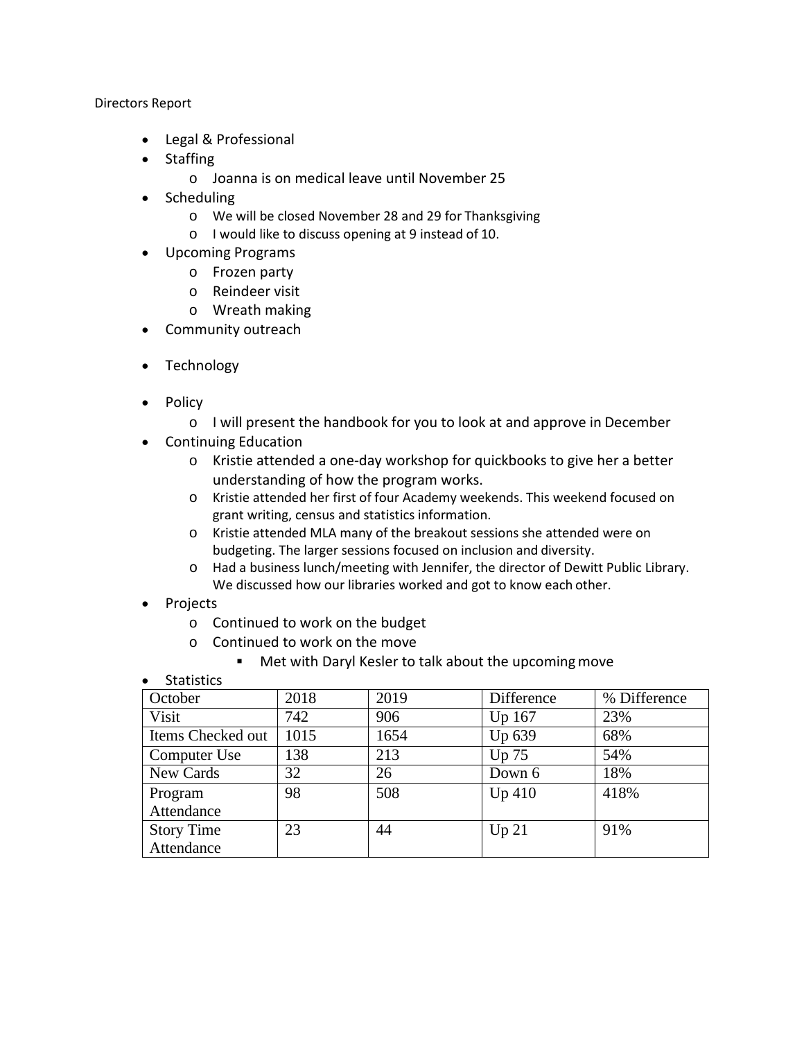Directors Report

- Legal & Professional
- Staffing
	- o Joanna is on medical leave until November 25
- Scheduling
	- o We will be closed November 28 and 29 for Thanksgiving
	- o I would like to discuss opening at 9 instead of 10.
- Upcoming Programs
	- o Frozen party
	- o Reindeer visit
	- o Wreath making
- Community outreach
- Technology
- Policy
	- o I will present the handbook for you to look at and approve in December
- Continuing Education
	- o Kristie attended a one-day workshop for quickbooks to give her a better understanding of how the program works.
	- o Kristie attended her first of four Academy weekends. This weekend focused on grant writing, census and statistics information.
	- o Kristie attended MLA many of the breakout sessions she attended were on budgeting. The larger sessions focused on inclusion and diversity.
	- o Had a business lunch/meeting with Jennifer, the director of Dewitt Public Library. We discussed how our libraries worked and got to know each other.
- Projects
	- o Continued to work on the budget
	- o Continued to work on the move
		- Met with Daryl Kesler to talk about the upcomingmove
- Statistics

| October           | 2018 | 2019 | Difference | % Difference |
|-------------------|------|------|------------|--------------|
| Visit             | 742  | 906  | Up 167     | 23%          |
| Items Checked out | 1015 | 1654 | Up 639     | 68%          |
| Computer Use      | 138  | 213  | Up 75      | 54%          |
| New Cards         | 32   | 26   | Down 6     | 18%          |
| Program           | 98   | 508  | Up 410     | 418%         |
| Attendance        |      |      |            |              |
| <b>Story Time</b> | 23   | 44   | Up 21      | 91%          |
| Attendance        |      |      |            |              |